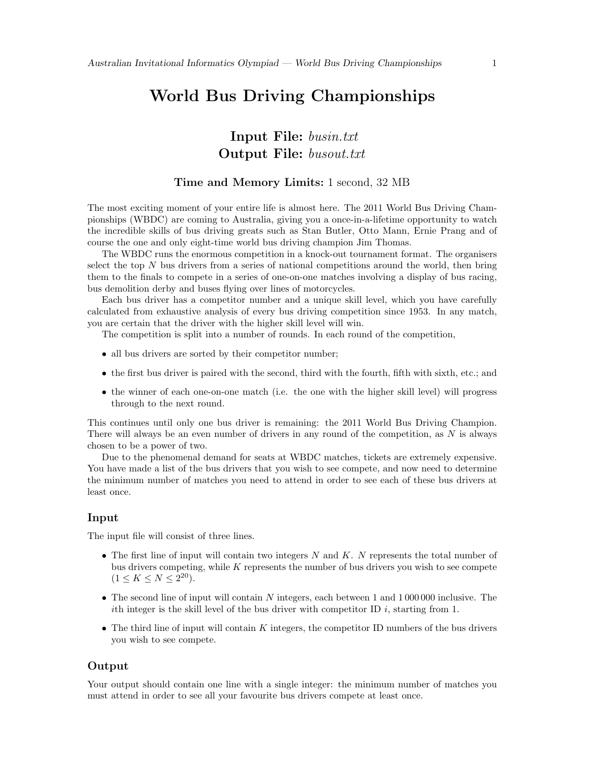# World Bus Driving Championships

## Input File: busin.txt Output File: busout.txt

#### Time and Memory Limits: 1 second, 32 MB

The most exciting moment of your entire life is almost here. The 2011 World Bus Driving Championships (WBDC) are coming to Australia, giving you a once-in-a-lifetime opportunity to watch the incredible skills of bus driving greats such as Stan Butler, Otto Mann, Ernie Prang and of course the one and only eight-time world bus driving champion Jim Thomas.

The WBDC runs the enormous competition in a knock-out tournament format. The organisers select the top  $N$  bus drivers from a series of national competitions around the world, then bring them to the finals to compete in a series of one-on-one matches involving a display of bus racing, bus demolition derby and buses flying over lines of motorcycles.

Each bus driver has a competitor number and a unique skill level, which you have carefully calculated from exhaustive analysis of every bus driving competition since 1953. In any match, you are certain that the driver with the higher skill level will win.

The competition is split into a number of rounds. In each round of the competition,

- all bus drivers are sorted by their competitor number;
- the first bus driver is paired with the second, third with the fourth, fifth with sixth, etc.; and
- the winner of each one-on-one match (i.e. the one with the higher skill level) will progress through to the next round.

This continues until only one bus driver is remaining: the 2011 World Bus Driving Champion. There will always be an even number of drivers in any round of the competition, as  $N$  is always chosen to be a power of two.

Due to the phenomenal demand for seats at WBDC matches, tickets are extremely expensive. You have made a list of the bus drivers that you wish to see compete, and now need to determine the minimum number of matches you need to attend in order to see each of these bus drivers at least once.

#### Input

The input file will consist of three lines.

- The first line of input will contain two integers  $N$  and  $K$ .  $N$  represents the total number of bus drivers competing, while  $K$  represents the number of bus drivers you wish to see compete  $(1 \leq K \leq N \leq 2^{20}).$
- The second line of input will contain N integers, each between 1 and 1 000 000 inclusive. The ith integer is the skill level of the bus driver with competitor ID  $i$ , starting from 1.
- The third line of input will contain  $K$  integers, the competitor ID numbers of the bus drivers you wish to see compete.

#### Output

Your output should contain one line with a single integer: the minimum number of matches you must attend in order to see all your favourite bus drivers compete at least once.